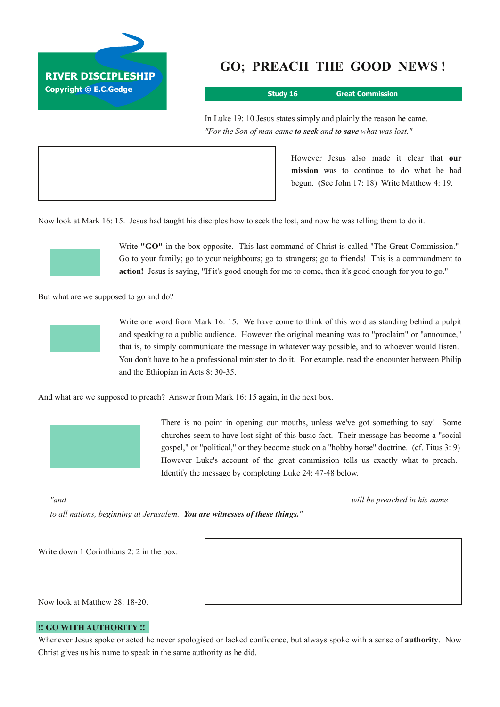

# **GO; PREACH THE GOOD NEWS !**

**Study 16 Great Commission**

In Luke 19: 10 Jesus states simply and plainly the reason he came. *"For the Son of man came to seek and to save what was lost."*

> However Jesus also made it clear that **our mission** was to continue to do what he had begun. (See John 17: 18) Write Matthew 4: 19.

Now look at Mark 16: 15. Jesus had taught his disciples how to seek the lost, and now he was telling them to do it.



Write **"GO"** in the box opposite. This last command of Christ is called "The Great Commission." Go to your family; go to your neighbours; go to strangers; go to friends! This is a commandment to **action!** Jesus is saying, "If it's good enough for me to come, then it's good enough for you to go."

But what are we supposed to go and do?



Write one word from Mark 16: 15. We have come to think of this word as standing behind a pulpit and speaking to a public audience. However the original meaning was to "proclaim" or "announce," that is, to simply communicate the message in whatever way possible, and to whoever would listen. You don't have to be a professional minister to do it. For example, read the encounter between Philip and the Ethiopian in Acts 8: 30-35.

And what are we supposed to preach? Answer from Mark 16: 15 again, in the next box.



There is no point in opening our mouths, unless we've got something to say! Some churches seem to have lost sight of this basic fact. Their message has become a "social gospel," or "political," or they become stuck on a "hobby horse" doctrine. (cf. Titus 3: 9) However Luke's account of the great commission tells us exactly what to preach. Identify the message by completing Luke 24: 4748 below.

*"and \_\_\_\_\_\_\_\_\_\_\_\_\_\_\_\_\_\_\_\_\_\_\_\_\_\_\_\_\_\_\_\_\_\_\_\_\_\_\_\_\_\_\_\_\_\_\_\_\_\_\_\_\_\_\_\_\_\_\_\_\_\_\_\_\_\_ will be preached in his name*

*to all nations, beginning at Jerusalem. You are witnesses of these things."*

Write down 1 Corinthians 2: 2 in the box.

Now look at Matthew 28: 18-20.

## **!! GO WITH AUTHORITY !!**

Whenever Jesus spoke or acted he never apologised or lacked confidence, but always spoke with a sense of **authority**. Now Christ gives us his name to speak in the same authority as he did.